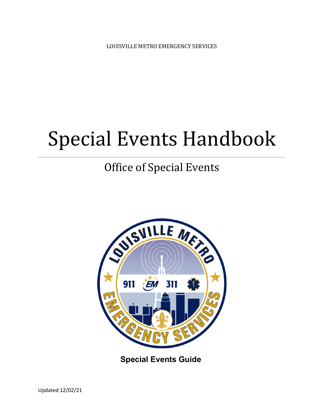LOUISVILLE METRO EMERGENCY SERVICES

# Special Events Handbook

## Office of Special Events



**Special Events Guide**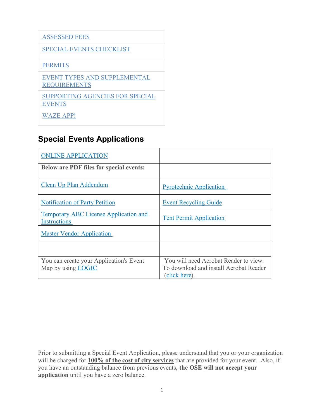#### [ASSESSED FEES](#page-5-0)

#### [SPECIAL EVENTS CHECKLIST](#page-6-0)

#### **[PERMITS](#page-8-0)**

[EVENT TYPES AND SUPPLEMENTAL](#page-3-0)  **[REQUIREMENTS](#page-3-0)** 

[SUPPORTING AGENCIES FOR SPECIAL](#page-19-0)  **[EVENTS](#page-19-0)** 

[WAZE APP!](https://www.waze.com/events)

#### **Special Events Applications**

| <b>ONLINE APPLICATION</b>                                            |                                                                                                  |
|----------------------------------------------------------------------|--------------------------------------------------------------------------------------------------|
| <b>Below are PDF files for special events:</b>                       |                                                                                                  |
| Clean Up Plan Addendum                                               | <b>Pyrotechnic Application</b>                                                                   |
| <b>Notification of Party Petition</b>                                | <b>Event Recycling Guide</b>                                                                     |
| <b>Temporary ABC License Application and</b><br><b>Instructions</b>  | <b>Tent Permit Application</b>                                                                   |
| <b>Master Vendor Application</b>                                     |                                                                                                  |
|                                                                      |                                                                                                  |
| You can create your Application's Event<br>Map by using <b>LOGIC</b> | You will need Acrobat Reader to view.<br>To download and install Acrobat Reader<br>(click here). |

Prior to submitting a Special Event Application, please understand that you or your organization will be charged for **100% of the cost of city services** that are provided for your event. Also, if you have an outstanding balance from previous events, **the OSE will not accept your application** until you have a zero balance.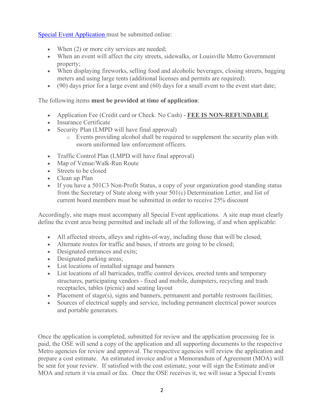[Special Event Application](https://louisvilleky.gov/government/emergency-services/office-special-events) must be submitted online:

- When (2) or more city services are needed;
- When an event will affect the city streets, sidewalks, or Louisville Metro Government property;
- When displaying fireworks, selling food and alcoholic beverages, closing streets, bagging meters and using large tents (additional licenses and permits are required).
- $\bullet$  (90) days prior for a large event and (60) days for a small event to the event start date;

#### The following items **must be provided at time of application**:

- Application Fee (Credit card or Check. No Cash) **FEE IS NON-REFUNDABLE**
- Insurance Certificate
- Security Plan (LMPD will have final approval)
	- o Events providing alcohol shall be required to supplement the security plan with sworn uniformed law enforcement officers.
- Traffic Control Plan (LMPD will have final approval)
- Map of Venue/Walk-Run Route
- Streets to be closed
- Clean up Plan
- If you have a 501C3 Non-Profit Status, a copy of your organization good standing status from the Secretary of State along with your 501(c) Determination Letter, and list of current board members must be submitted in order to receive 25% discount

Accordingly, site maps must accompany all Special Event applications. A site map must clearly define the event area being permitted and include all of the following, if and when applicable:

- All affected streets, alleys and rights-of-way, including those that will be closed;
- Alternate routes for traffic and buses, if streets are going to be closed;
- Designated entrances and exits;
- Designated parking areas;
- List locations of installed signage and banners
- List locations of all barricades, traffic control devices, erected tents and temporary structures, participating vendors - fixed and mobile, dumpsters, recycling and trash receptacles, tables (picnic) and seating layout
- Placement of stage(s), signs and banners, permanent and portable restroom facilities;
- Sources of electrical supply and service, including permanent electrical power sources and portable generators.

Once the application is completed, submitted for review and the application processing fee is paid, the OSE will send a copy of the application and all supporting documents to the respective Metro agencies for review and approval. The respective agencies will review the application and prepare a cost estimate. An estimated invoice and/or a Memorandum of Agreement (MOA) will be sent for your review. If satisfied with the cost estimate, your will sign the Estimate and/or MOA and return it via email or fax. Once the OSE receives it, we will issue a Special Events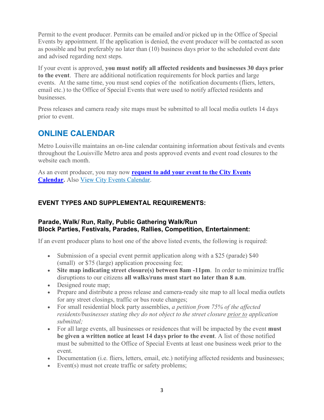Permit to the event producer. Permits can be emailed and/or picked up in the Office of Special Events by appointment. If the application is denied, the event producer will be contacted as soon as possible and but preferably no later than (10) business days prior to the scheduled event date and advised regarding next steps.

If your event is approved, **you must notify all affected residents and businesses 30 days prior to the event**. There are additional notification requirements for block parties and large events. At the same time, you must send copies of the notification documents (fliers, letters, email etc.) to the Office of Special Events that were used to notify affected residents and businesses.

Press releases and camera ready site maps must be submitted to all local media outlets 14 days prior to event.

#### **ONLINE CALENDAR**

Metro Louisville maintains an on-line calendar containing information about festivals and events throughout the Louisville Metro area and posts approved events and event road closures to the website each month.

As an event producer, you may now **[request to add your event to the City Events](https://louisvilleky.gov/government/city-events/services/add-event-city-event-calendar)  [Calendar.](https://louisvilleky.gov/government/city-events/services/add-event-city-event-calendar)** Also [View City Events Calendar.](https://louisvilleky.gov/events)

#### <span id="page-3-0"></span>**EVENT TYPES AND SUPPLEMENTAL REQUIREMENTS:**

#### **Parade, Walk/ Run, Rally, Public Gathering Walk/Run Block Parties, Festivals, Parades, Rallies, Competition, Entertainment:**

If an event producer plans to host one of the above listed events, the following is required:

- Submission of a special event permit application along with a \$25 (parade) \$40 (small) or \$75 (large) application processing fee;
- **Site map indicating street closure(s) between 8am -11pm**. In order to minimize traffic disruptions to our citizens **all walks/runs must start no later than 8 a.m**.
- Designed route map;
- Prepare and distribute a press release and camera-ready site map to all local media outlets for any street closings, traffic or bus route changes;
- For small residential block party assemblies, *a petition from 75% of the affected residents/businesses stating they do not object to the street closure prior to application submittal;*
- For all large events, all businesses or residences that will be impacted by the event **must be given a written notice at least 14 days prior to the event**. A list of those notified must be submitted to the Office of Special Events at least one business week prior to the event.
- Documentation (i.e. fliers, letters, email, etc.) notifying affected residents and businesses;
- Event(s) must not create traffic or safety problems;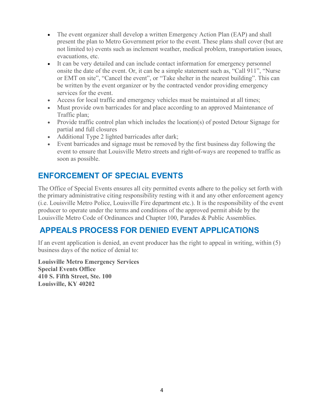- The event organizer shall develop a written Emergency Action Plan (EAP) and shall present the plan to Metro Government prior to the event. These plans shall cover (but are not limited to) events such as inclement weather, medical problem, transportation issues, evacuations, etc.
- It can be very detailed and can include contact information for emergency personnel onsite the date of the event. Or, it can be a simple statement such as, "Call 911", "Nurse or EMT on site", "Cancel the event", or "Take shelter in the nearest building". This can be written by the event organizer or by the contracted vendor providing emergency services for the event.
- Access for local traffic and emergency vehicles must be maintained at all times;
- Must provide own barricades for and place according to an approved Maintenance of Traffic plan;
- Provide traffic control plan which includes the location(s) of posted Detour Signage for partial and full closures
- Additional Type 2 lighted barricades after dark;
- Event barricades and signage must be removed by the first business day following the event to ensure that Louisville Metro streets and right-of-ways are reopened to traffic as soon as possible.

#### **ENFORCEMENT OF SPECIAL EVENTS**

The Office of Special Events ensures all city permitted events adhere to the policy set forth with the primary administrative citing responsibility resting with it and any other enforcement agency (i.e. Louisville Metro Police, Louisville Fire department etc.). It is the responsibility of the event producer to operate under the terms and conditions of the approved permit abide by the Louisville Metro Code of Ordinances and Chapter 100, Parades & Public Assemblies.

## **APPEALS PROCESS FOR DENIED EVENT APPLICATIONS**

If an event application is denied, an event producer has the right to appeal in writing, within (5) business days of the notice of denial to:

**Louisville Metro Emergency Services Special Events Office 410 S. Fifth Street, Ste. 100 Louisville, KY 40202**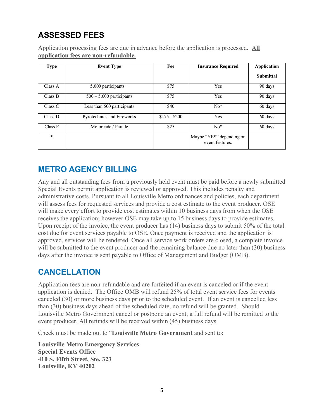## <span id="page-5-0"></span>**ASSESSED FEES**

Application processing fees are due in advance before the application is processed. **All application fees are non-refundable.**

| <b>Type</b> | <b>Event Type</b>          | Fee           | <b>Insurance Required</b>                   | <b>Application</b> |
|-------------|----------------------------|---------------|---------------------------------------------|--------------------|
|             |                            |               |                                             | <b>Submittal</b>   |
| Class A     | $5,000$ participants +     | \$75          | Yes                                         | 90 days            |
| Class B     | $500 - 5,000$ participants | \$75          | Yes                                         | 90 days            |
| Class C     | Less than 500 participants | \$40          | $No*$                                       | 60 days            |
| Class D     | Pyrotechnics and Fireworks | $$175 - $200$ | Yes                                         | 60 days            |
| Class F     | Motorcade / Parade         | \$25          | $No*$                                       | 60 days            |
| $\star$     |                            |               | Maybe "YES" depending on<br>event features. |                    |

## **METRO AGENCY BILLING**

Any and all outstanding fees from a previously held event must be paid before a newly submitted Special Events permit application is reviewed or approved. This includes penalty and administrative costs. Pursuant to all Louisville Metro ordinances and policies, each department will assess fees for requested services and provide a cost estimate to the event producer. OSE will make every effort to provide cost estimates within 10 business days from when the OSE receives the application; however OSE may take up to 15 business days to provide estimates. Upon receipt of the invoice, the event producer has (14) business days to submit 50% of the total cost due for event services payable to OSE. Once payment is received and the application is approved, services will be rendered. Once all service work orders are closed, a complete invoice will be submitted to the event producer and the remaining balance due no later than (30) business days after the invoice is sent payable to Office of Management and Budget (OMB).

#### **CANCELLATION**

Application fees are non-refundable and are forfeited if an event is canceled or if the event application is denied. The Office OMB will refund 25% of total event service fees for events canceled (30) or more business days prior to the scheduled event. If an event is cancelled less than (30) business days ahead of the scheduled date, no refund will be granted. Should Louisville Metro Government cancel or postpone an event, a full refund will be remitted to the event producer. All refunds will be received within (45) business days.

Check must be made out to "**Louisville Metro Government** and sent to:

**Louisville Metro Emergency Services Special Events Office 410 S. Fifth Street, Ste. 323 Louisville, KY 40202**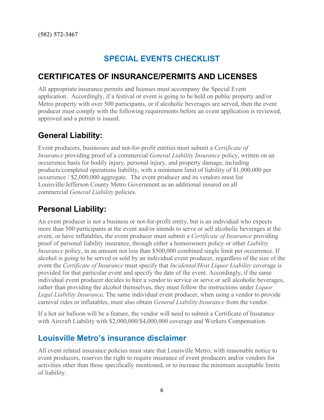## **SPECIAL EVENTS CHECKLIST**

#### <span id="page-6-0"></span>**CERTIFICATES OF INSURANCE/PERMITS AND LICENSES**

All appropriate insurance permits and licenses must accompany the Special Event application. Accordingly, if a festival or event is going to be held on public property and/or Metro property with over 500 participants, or if alcoholic beverages are served, then the event producer must comply with the following requirements before an event application is reviewed, approved and a permit is issued.

#### **General Liability:**

Event producers, businesses and not-for-profit entities must submit a *Certificate of Insurance* providing proof of a commercial *General Liability Insurance* policy, written on an occurrence basis for bodily injury, personal injury, and property damage, including products/completed operations liability, with a minimum limit of liability of \$1,000,000 per occurrence / \$2,000,000 aggregate. The event producer and its vendors must list Louisville/Jefferson County Metro Government as an additional insured on all commercial *General Liability* policies.

#### **Personal Liability:**

An event producer is not a business or not-for-profit entity, but is an individual who expects more than 500 participants at the event and/or intends to serve or sell alcoholic beverages at the event, or have inflatables, the event producer must submit a *Certificate of Insurance* providing proof of personal liability insurance, through either a homeowners policy or other *Liability Insurance* policy, in an amount not less than \$500,000 combined single limit per occurrence. If alcohol is going to be served or sold by an individual event producer, regardless of the size of the event the *Certificate of Insurance* must specify that *Incidental/Host Liquor Liability* coverage is provided for that particular event and specify the date of the event. Accordingly, if the same individual event producer decides to hire a vendor to service or serve or sell alcoholic beverages, rather than providing the alcohol themselves, they must follow the instructions under *Liquor Legal Liability Insurance.* The same individual event producer, when using a vendor to provide carnival rides or inflatables, must also obtain *General Liability Insurance* from the vendor.

If a hot air balloon will be a feature, the vendor will need to submit a Certificate of Insurance with Aircraft Liability with \$2,000,000/\$4,000,000 coverage and Workers Compensation.

#### **Louisville Metro's insurance disclaimer**

All event related insurance policies must state that Louisville Metro, with reasonable notice to event producers, reserves the right to require insurance of event producers and/or vendors for activities other than those specifically mentioned, or to increase the minimum acceptable limits of liability.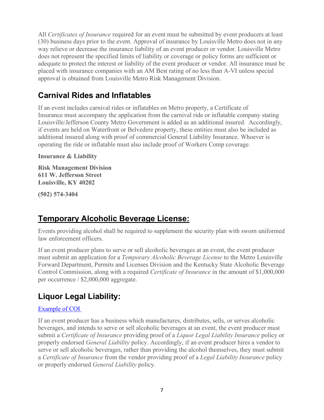All *Certificates of Insurance* required for an event must be submitted by event producers at least (30) business days prior to the event. Approval of insurance by Louisville Metro does not in any way relieve or decrease the insurance liability of an event producer or vendor. Louisville Metro does not represent the specified limits of liability or coverage or policy forms are sufficient or adequate to protect the interest or liability of the event producer or vendor. All insurance must be placed with insurance companies with an AM Best rating of no less than A-VI unless special approval is obtained from Louisville Metro Risk Management Division.

## **Carnival Rides and Inflatables**

If an event includes carnival rides or inflatables on Metro property, a Certificate of Insurance must accompany the application from the carnival ride or inflatable company stating Louisville/Jefferson County Metro Government is added as an additional insured. Accordingly, if events are held on Waterfront or Belvedere property, these entities must also be included as additional insured along with proof of commercial General Liability Insurance. Whoever is operating the ride or inflatable must also include proof of Workers Comp coverage.

**Insurance & Liability**

**Risk Management Division 611 W. Jefferson Street Louisville, KY 40202**

**(502) 574-3404**

## **Temporary Alcoholic Beverage License:**

Events providing alcohol shall be required to supplement the security plan with sworn uniformed law enforcement officers.

If an event producer plans to serve or sell alcoholic beverages at an event, the event producer must submit an application for a *Temporary Alcoholic Beverage License* to the Metro Louisville Forward Department, Permits and Licenses Division and the Kentucky State Alcoholic Beverage Control Commission, along with a required *Certificate of Insurance* in the amount of \$1,000,000 per occurrence / \$2,000,000 aggregate.

## **Liquor Legal Liability:**

#### [Example of COI](file://svfs04/emausers$/dlsweeney/Forms%20Special%20Events/COIs/COI%20example%20GL%20with%20WC%20and%20Liq%20Liability%20LMG%20only.pdf)

If an event producer has a business which manufactures, distributes, sells, or serves alcoholic beverages, and intends to serve or sell alcoholic beverages at an event, the event producer must submit a *Certificate of Insurance* providing proof of a *Liquor Legal Liability Insurance* policy or properly endorsed *General Liability* policy. Accordingly, if an event producer hires a vendor to serve or sell alcoholic beverages, rather than providing the alcohol themselves, they must submit a *Certificate of Insurance* from the vendor providing proof of a *Legal Liability Insurance* policy or properly endorsed *General Liability* policy.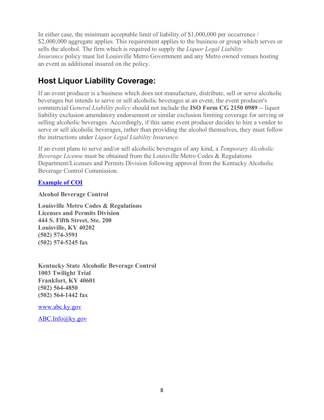In either case, the minimum acceptable limit of liability of \$1,000,000 per occurrence / \$2,000,000 aggregate applies. This requirement applies to the business or group which serves or sells the alcohol. The firm which is required to supply the *Liquor Legal Liability Insurance* policy must list Louisville Metro Government and any Metro owned venues hosting an event as additional insured on the policy.

## **Host Liquor Liability Coverage:**

If an event producer is a business which does not manufacture, distribute, sell or serve alcoholic beverages but intends to serve or sell alcoholic beverages at an event, the event producer's commercial G*eneral Liability policy* should not include the **ISO Form CG 2150 0989** -- liquor liability exclusion amendatory endorsement or similar exclusion limiting coverage for serving or selling alcoholic beverages. Accordingly, if this same event producer decides to hire a vendor to serve or sell alcoholic beverages, rather than providing the alcohol themselves, they must follow the instructions under *Liquor Legal Liability Insurance.*

If an event plans to serve and/or sell alcoholic beverages of any kind, a *Temporary Alcoholic Beverage License* must be obtained from the Louisville Metro Codes & Regulations Department/Licenses and Permits Division following approval from the Kentucky Alcoholic Beverage Control Commission.

#### **[Example of COI](file://svfs04/emausers$/dlsweeney/Forms%20Special%20Events/COIs/Liq%20liabilty%20with%20WC%20COI%20example%20LMG%20&%20WDC%20(host%20liq).pdf)**

**Alcohol Beverage Control**

**Louisville Metro Codes & Regulations Licenses and Permits Division 444 S. Fifth Street, Ste. 200 Louisville, KY 40202 (502) 574-3591 (502) 574-5245 fax**

**Kentucky State Alcoholic Beverage Control 1003 Twilight Trial Frankfort, KY 40601 (502) 564-4850 (502) 564-1442 fax**

[www.abc.ky.gov](http://www.abc.ky.gov/)

<span id="page-8-0"></span>[ABC.Info@ky.gov](mailto:ABC.Info@ky.gov)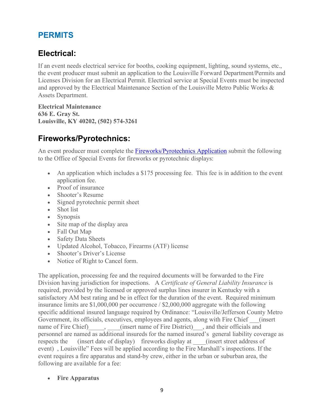## **PERMITS**

## **Electrical:**

If an event needs electrical service for booths, cooking equipment, lighting, sound systems, etc., the event producer must submit an application to the Louisville Forward Department/Permits and Licenses Division for an Electrical Permit. Electrical service at Special Events must be inspected and approved by the Electrical Maintenance Section of the Louisville Metro Public Works & Assets Department.

**Electrical Maintenance 636 E. Gray St. Louisville, KY 40202, (502) 574-3261**

## **Fireworks/Pyrotechnics:**

An event producer must complete the **Fireworks/Pyrotechnics Application** submit the following to the Office of Special Events for fireworks or pyrotechnic displays:

- An application which includes a \$175 processing fee. This fee is in addition to the event application fee.
- Proof of insurance
- Shooter's Resume
- Signed pyrotechnic permit sheet
- Shot list
- Synopsis
- Site map of the display area
- Fall Out Map
- Safety Data Sheets
- Updated Alcohol, Tobacco, Firearms (ATF) license
- Shooter's Driver's License
- Notice of Right to Cancel form.

The application, processing fee and the required documents will be forwarded to the Fire Division having jurisdiction for inspections. A *Certificate of General Liability Insurance* is required, provided by the licensed or approved surplus lines insurer in Kentucky with a satisfactory AM best rating and be in effect for the duration of the event. Required minimum insurance limits are \$1,000,000 per occurrence / \$2,000,000 aggregate with the following specific additional insured language required by Ordinance: "Louisville/Jefferson County Metro Government, its officials, executives, employees and agents, along with Fire Chief (insert name of Fire Chief) (insert name of Fire District), and their officials and personnel are named as additional insureds for the named insured's general liability coverage as respects the (insert date of display) fireworks display at (insert street address of event) , Louisville" Fees will be applied according to the Fire Marshall's inspections. If the event requires a fire apparatus and stand-by crew, either in the urban or suburban area, the following are available for a fee:

#### • **Fire Apparatus**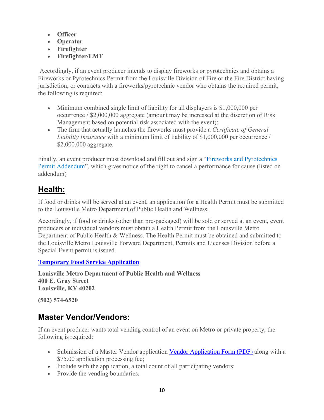- **Officer**
- **Operator**
- **Firefighter**
- **Firefighter/EMT**

Accordingly, if an event producer intends to display fireworks or pyrotechnics and obtains a Fireworks or Pyrotechnics Permit from the Louisville Division of Fire or the Fire District having jurisdiction, or contracts with a fireworks/pyrotechnic vendor who obtains the required permit, the following is required:

- Minimum combined single limit of liability for all displayers is \$1,000,000 per occurrence / \$2,000,000 aggregate (amount may be increased at the discretion of Risk Management based on potential risk associated with the event);
- The firm that actually launches the fireworks must provide a *Certificate of General Liability Insurance* with a minimum limit of liability of \$1,000,000 per occurrence / \$2,000,000 aggregate.

Finally, an event producer must download and fill out and sign a "Fireworks and Pyrotechnics Permit Addendum", which gives notice of the right to cancel a performance for cause (listed on addendum)

## **Health:**

If food or drinks will be served at an event, an application for a Health Permit must be submitted to the Louisville Metro Department of Public Health and Wellness.

Accordingly, if food or drinks (other than pre-packaged) will be sold or served at an event, event producers or individual vendors must obtain a Health Permit from the Louisville Metro Department of Public Health & Wellness. The Health Permit must be obtained and submitted to the Louisville Metro Louisville Forward Department, Permits and Licenses Division before a Special Event permit is issued.

**[Temporary Food Service Application](https://louisvilleky.gov/health-wellness/forms/temporary-food-service-application)**

**Louisville Metro Department of Public Health and Wellness 400 E. Gray Street Louisville, KY 40202**

**(502) 574-6520**

#### **Master Vendor/Vendors:**

If an event producer wants total vending control of an event on Metro or private property, the following is required:

- Submission of a Master Vendor application [Vendor Application Form \(PDF\)](file://svfs04/emausers$/dlsweeney/Forms%20Special%20Events/Master%20Vendor%20Application.pdf) along with a \$75.00 application processing fee;
- Include with the application, a total count of all participating vendors;
- Provide the vending boundaries.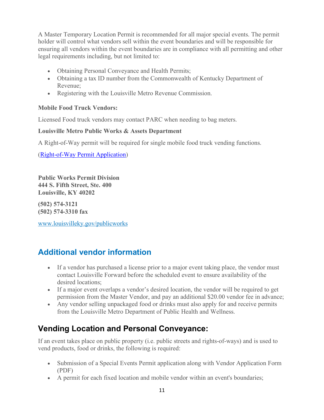A Master Temporary Location Permit is recommended for all major special events. The permit holder will control what vendors sell within the event boundaries and will be responsible for ensuring all vendors within the event boundaries are in compliance with all permitting and other legal requirements including, but not limited to:

- Obtaining Personal Conveyance and Health Permits;
- Obtaining a tax ID number from the Commonwealth of Kentucky Department of Revenue;
- Registering with the Louisville Metro Revenue Commission.

#### **Mobile Food Truck Vendors:**

Licensed Food truck vendors may contact PARC when needing to bag meters.

#### **Louisville Metro Public Works & Assets Department**

A Right-of-Way permit will be required for single mobile food truck vending functions.

[\(Right-of-Way Permit Application\)](file://svfs04/emausers$/dlsweeney/Forms%20Special%20Events/Right%20of%20Way%20Permit%20application.pdf)

**Public Works Permit Division 444 S. Fifth Street, Ste. 400 Louisville, KY 40202**

**(502) 574-3121 (502) 574-3310 fax**

[www.louisvilleky.gov/publicworks](https://louisvilleky.gov/government/public-works)

## **Additional vendor information**

- If a vendor has purchased a license prior to a major event taking place, the vendor must contact Louisville Forward before the scheduled event to ensure availability of the desired locations;
- If a major event overlaps a vendor's desired location, the vendor will be required to get permission from the Master Vendor, and pay an additional \$20.00 vendor fee in advance;
- Any vendor selling unpackaged food or drinks must also apply for and receive permits from the Louisville Metro Department of Public Health and Wellness.

## **Vending Location and Personal Conveyance:**

If an event takes place on public property (i.e. public streets and rights-of-ways) and is used to vend products, food or drinks, the following is required:

- Submission of a Special Events Permit application along with Vendor Application Form (PDF)
- A permit for each fixed location and mobile vendor within an event's boundaries;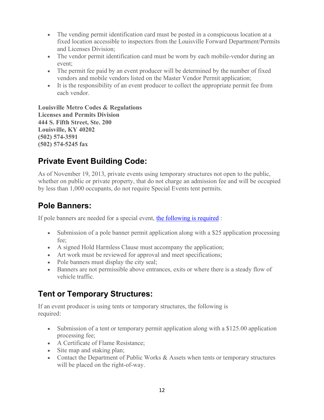- The vending permit identification card must be posted in a conspicuous location at a fixed location accessible to inspectors from the Louisville Forward Department/Permits and Licenses Division;
- The vendor permit identification card must be worn by each mobile-vendor during an event;
- The permit fee paid by an event producer will be determined by the number of fixed vendors and mobile vendors listed on the Master Vendor Permit application;
- It is the responsibility of an event producer to collect the appropriate permit fee from each vendor.

**Louisville Metro Codes & Regulations Licenses and Permits Division 444 S. Fifth Street, Ste. 200 Louisville, KY 40202 (502) 574-3591 (502) 574-5245 fax**

## **Private Event Building Code:**

As of November 19, 2013, private events using temporary structures not open to the public, whether on public or private property, that do not charge an admission fee and will be occupied by less than 1,000 occupants, do not require Special Events tent permits.

#### **Pole Banners:**

If pole banners are needed for a special event, [the following is required](https://louisvilleky.gov/public-works/document/street-banner-guidelines) :

- Submission of a pole banner permit application along with a \$25 application processing fee;
- A signed Hold Harmless Clause must accompany the application;
- Art work must be reviewed for approval and meet specifications;
- Pole banners must display the city seal;
- Banners are not permissible above entrances, exits or where there is a steady flow of vehicle traffic.

## **Tent or Temporary Structures:**

If an event producer is using tents or temporary structures, the following is required:

- Submission of a tent or temporary permit application along with a \$125.00 application processing fee;
- A Certificate of Flame Resistance;
- Site map and staking plan;
- Contact the Department of Public Works & Assets when tents or temporary structures will be placed on the right-of-way.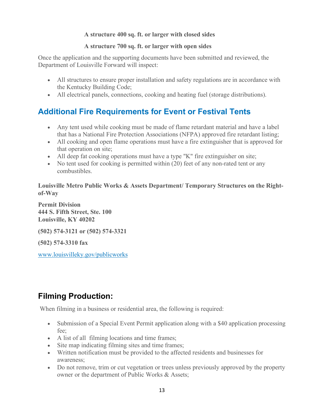#### **A structure 400 sq. ft. or larger with closed sides**

#### **A structure 700 sq. ft. or larger with open sides**

Once the application and the supporting documents have been submitted and reviewed, the Department of Louisville Forward will inspect:

- All structures to ensure proper installation and safety regulations are in accordance with the Kentucky Building Code;
- All electrical panels, connections, cooking and heating fuel (storage distributions).

## **Additional Fire Requirements for Event or Festival Tents**

- Any tent used while cooking must be made of flame retardant material and have a label that has a National Fire Protection Associations (NFPA) approved fire retardant listing;
- All cooking and open flame operations must have a fire extinguisher that is approved for that operation on site;
- All deep fat cooking operations must have a type "K" fire extinguisher on site;
- No tent used for cooking is permitted within (20) feet of any non-rated tent or any combustibles.

**Louisville Metro Public Works & Assets Department/ Temporary Structures on the Rightof-Way**

**Permit Division 444 S. Fifth Street, Ste. 100 Louisville, KY 40202**

**(502) 574-3121 or (502) 574-3321**

**(502) 574-3310 fax**

[www.louisvilleky.gov/publicworks](https://louisvilleky.gov/government/public-works)

## **Filming Production:**

When filming in a business or residential area, the following is required:

- Submission of a Special Event Permit application along with a \$40 application processing fee;
- A list of all filming locations and time frames;
- Site map indicating filming sites and time frames;
- Written notification must be provided to the affected residents and businesses for awareness;
- Do not remove, trim or cut vegetation or trees unless previously approved by the property owner or the department of Public Works & Assets;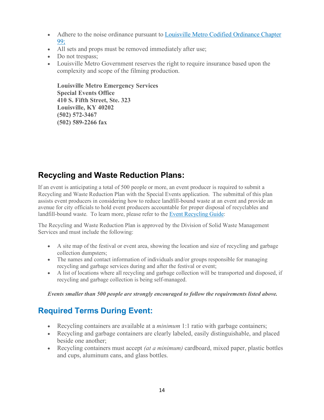- Adhere to the noise ordinance pursuant to Louisville Metro Codified Ordinance Chapter [99;](http://www.amlegal.com/nxt/gateway.dll/Kentucky/loukymetro/titleixgeneralregulations/chapter99noise?f=templates$fn=default.htm$3.0$vid=amlegal:louisville_ky$anc=JD_Chapter99)
- All sets and props must be removed immediately after use;
- Do not trespass;
- Louisville Metro Government reserves the right to require insurance based upon the complexity and scope of the filming production.

**Louisville Metro Emergency Services Special Events Office 410 S. Fifth Street, Ste. 323 Louisville, KY 40202 (502) 572-3467 (502) 589-2266 fax**

#### **Recycling and Waste Reduction Plans:**

If an event is anticipating a total of 500 people or more, an event producer is required to submit a Recycling and Waste Reduction Plan with the Special Events application. The submittal of this plan assists event producers in considering how to reduce landfill-bound waste at an event and provide an avenue for city officials to hold event producers accountable for proper disposal of recyclables and landfill-bound waste. To learn more, please refer to the [Event Recycling Guide:](https://louisvilleky.gov/file/specialeventrecyclingguide-october2014pdf)

The Recycling and Waste Reduction Plan is approved by the Division of Solid Waste Management Services and must include the following:

- A site map of the festival or event area, showing the location and size of recycling and garbage collection dumpsters;
- The names and contact information of individuals and/or groups responsible for managing recycling and garbage services during and after the festival or event;
- A list of locations where all recycling and garbage collection will be transported and disposed, if recycling and garbage collection is being self-managed.

*Events smaller than 500 people are strongly encouraged to follow the requirements listed above.*

## **Required Terms During Event:**

- Recycling containers are available at a *minimum* 1:1 ratio with garbage containers;
- Recycling and garbage containers are clearly labeled, easily distinguishable, and placed beside one another;
- Recycling containers must accept *(at a minimum)* cardboard, mixed paper, plastic bottles and cups, aluminum cans, and glass bottles.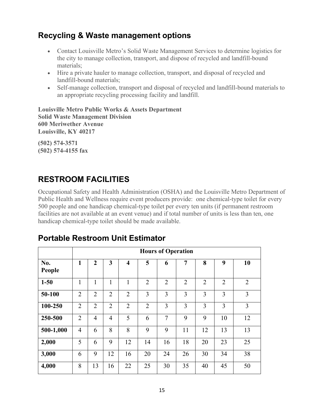## **Recycling & Waste management options**

- Contact Louisville Metro's Solid Waste Management Services to determine logistics for the city to manage collection, transport, and dispose of recycled and landfill-bound materials;
- Hire a private hauler to manage collection, transport, and disposal of recycled and landfill-bound materials;
- Self-manage collection, transport and disposal of recycled and landfill-bound materials to an appropriate recycling processing facility and landfill.

**Louisville Metro Public Works & Assets Department Solid Waste Management Division 600 Meriwether Avenue Louisville, KY 40217**

**(502) 574-3571 (502) 574-4155 fax**

## **RESTROOM FACILITIES**

Occupational Safety and Health Administration (OSHA) and the Louisville Metro Department of Public Health and Wellness require event producers provide: one chemical-type toilet for every 500 people and one handicap chemical-type toilet per every ten units (if permanent restroom facilities are not available at an event venue) and if total number of units is less than ten, one handicap chemical-type toilet should be made available.

|               | <b>Hours of Operation</b> |                |                |                         |                |                |                |                |                |                |
|---------------|---------------------------|----------------|----------------|-------------------------|----------------|----------------|----------------|----------------|----------------|----------------|
| No.<br>People | $\mathbf{1}$              | $\overline{2}$ | 3              | $\overline{\mathbf{4}}$ | 5              | 6              | 7              | 8              | 9              | 10             |
| $1 - 50$      | $\mathbf{1}$              | $\mathbf{1}$   | $\mathbf{1}$   | 1                       | $\overline{2}$ | $\overline{2}$ | $\overline{2}$ | $\overline{2}$ | $\overline{2}$ | $\overline{2}$ |
| 50-100        | $\overline{2}$            | $\overline{2}$ | $\overline{2}$ | $\overline{2}$          | 3              | 3              | 3              | 3              | $\overline{3}$ | 3              |
| 100-250       | $\overline{2}$            | $\overline{2}$ | $\overline{2}$ | $\overline{2}$          | $\overline{2}$ | 3              | 3              | 3              | 3              | 3              |
| 250-500       | $\overline{2}$            | $\overline{4}$ | $\overline{4}$ | 5                       | 6              | $\overline{7}$ | 9              | 9              | 10             | 12             |
| 500-1,000     | $\overline{4}$            | 6              | 8              | 8                       | 9              | 9              | 11             | 12             | 13             | 13             |
| 2,000         | 5                         | 6              | 9              | 12                      | 14             | 16             | 18             | 20             | 23             | 25             |
| 3,000         | 6                         | 9              | 12             | 16                      | 20             | 24             | 26             | 30             | 34             | 38             |
| 4,000         | 8                         | 13             | 16             | 22                      | 25             | 30             | 35             | 40             | 45             | 50             |

## **Portable Restroom Unit Estimator**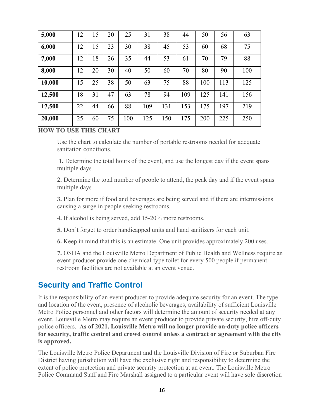| 5,000  | 12 | 15 | 20 | 25  | 31  | 38  | 44  | 50  | 56  | 63  |
|--------|----|----|----|-----|-----|-----|-----|-----|-----|-----|
| 6,000  | 12 | 15 | 23 | 30  | 38  | 45  | 53  | 60  | 68  | 75  |
| 7,000  | 12 | 18 | 26 | 35  | 44  | 53  | 61  | 70  | 79  | 88  |
| 8,000  | 12 | 20 | 30 | 40  | 50  | 60  | 70  | 80  | 90  | 100 |
| 10,000 | 15 | 25 | 38 | 50  | 63  | 75  | 88  | 100 | 113 | 125 |
| 12,500 | 18 | 31 | 47 | 63  | 78  | 94  | 109 | 125 | 141 | 156 |
| 17,500 | 22 | 44 | 66 | 88  | 109 | 131 | 153 | 175 | 197 | 219 |
| 20,000 | 25 | 60 | 75 | 100 | 125 | 150 | 175 | 200 | 225 | 250 |

#### **HOW TO USE THIS CHART**

Use the chart to calculate the number of portable restrooms needed for adequate sanitation conditions.

**1.** Determine the total hours of the event, and use the longest day if the event spans multiple days

**2.** Determine the total number of people to attend, the peak day and if the event spans multiple days

**3.** Plan for more if food and beverages are being served and if there are intermissions causing a surge in people seeking restrooms.

**4.** If alcohol is being served, add 15-20% more restrooms.

**5.** Don't forget to order handicapped units and hand sanitizers for each unit.

**6.** Keep in mind that this is an estimate. One unit provides approximately 200 uses.

**7.** OSHA and the Louisville Metro Department of Public Health and Wellness require an event producer provide one chemical-type toilet for every 500 people if permanent restroom facilities are not available at an event venue.

#### **Security and Traffic Control**

It is the responsibility of an event producer to provide adequate security for an event. The type and location of the event, presence of alcoholic beverages, availability of sufficient Louisville Metro Police personnel and other factors will determine the amount of security needed at any event. Louisville Metro may require an event producer to provide private security, hire off-duty police officers. **As of 2021, Louisville Metro will no longer provide on-duty police officers for security, traffic control and crowd control unless a contract or agreement with the city is approved.** 

The Louisville Metro Police Department and the Louisville Division of Fire or Suburban Fire District having jurisdiction will have the exclusive right and responsibility to determine the extent of police protection and private security protection at an event. The Louisville Metro Police Command Staff and Fire Marshall assigned to a particular event will have sole discretion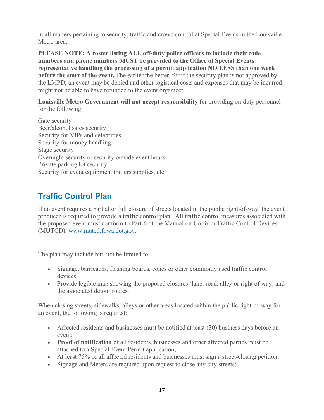in all matters pertaining to security, traffic and crowd control at Special Events in the Louisville Metro area.

**PLEASE NOTE: A roster listing ALL off-duty police officers to include their code numbers and phone numbers MUST be provided to the Office of Special Events representative handling the processing of a permit application NO LESS than one week before the start of the event.** The earlier the better, for if the security plan is not approved by the LMPD, an event may be denied and other logistical costs and expenses that may be incurred might not be able to have refunded to the event organizer.

**Louisville Metro Government will not accept responsibility** for providing on-duty personnel for the following:

Gate security Beer/alcohol sales security Security for VIPs and celebrities Security for money handling Stage security Overnight security or security outside event hours Private parking lot security Security for event equipment trailers supplies, etc.

#### **Traffic Control Plan**

If an event requires a partial or full closure of streets located in the public right-of-way, the event producer is required to provide a traffic control plan. All traffic control measures associated with the proposed event must conform to Part-6 of the Manual on Uniform Traffic Control Devices (MUTCD), [www.mutcd.fhwa.dot.gov.](http://www.mutcd.fhwa.dot.gov/)

The plan may include but, not be limited to:

- Signage, barricades, flashing boards, cones or other commonly used traffic control devices;
- Provide legible map showing the proposed closures (lane, road, alley or right of way) and the associated detour routes.

When closing streets, sidewalks, alleys or other areas located within the public right-of-way for an event, the following is required:

- Affected residents and businesses must be notified at least (30) business days before an event;
- **Proof of notification** of all residents, businesses and other affected parties must be attached to a Special Event Permit application;
- At least 75% of all affected residents and businesses must sign a street-closing petition;
- Signage and Meters are required upon request to close any city streets;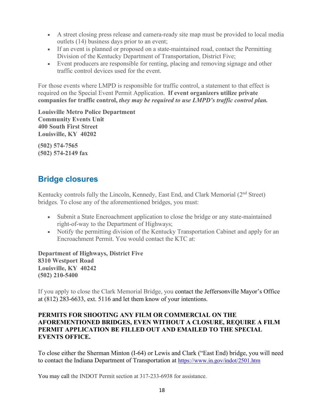- A street closing press release and camera-ready site map must be provided to local media outlets (14) business days prior to an event;
- If an event is planned or proposed on a state-maintained road, contact the Permitting Division of the Kentucky Department of Transportation, District Five;
- Event producers are responsible for renting, placing and removing signage and other traffic control devices used for the event.

For those events where LMPD is responsible for traffic control, a statement to that effect is required on the Special Event Permit Application. **If event organizers utilize private companies for traffic control,** *they may be required to use LMPD's traffic control plan.*

**Louisville Metro Police Department Community Events Unit 400 South First Street Louisville, KY 40202**

**(502) 574-7565 (502) 574-2149 fax**

## **Bridge closures**

Kentucky controls fully the Lincoln, Kennedy, East End, and Clark Memorial (2<sup>nd</sup> Street) bridges. To close any of the aforementioned bridges, you must:

- Submit a State Encroachment application to close the bridge or any state-maintained right-of-way to the Department of Highways;
- Notify the permitting division of the Kentucky Transportation Cabinet and apply for an Encroachment Permit. You would contact the KTC at:

**Department of Highways, District Five 8310 Westport Road Louisville, KY 40242 (502) 210-5400** 

If you apply to close the Clark Memorial Bridge, you contact the Jeffersonville Mayor's Office at (812) 283-6633, ext. 5116 and let them know of your intentions.

#### **PERMITS FOR SHOOTING ANY FILM OR COMMERCIAL ON THE AFOREMENTIONED BRIDGES, EVEN WITHOUT A CLOSURE, REQUIRE A FILM PERMIT APPLICATION BE FILLED OUT AND EMAILED TO THE SPECIAL EVENTS OFFICE.**

To close either the Sherman Minton (I-64) or Lewis and Clark ("East End) bridge, you will need to contact the Indiana Department of Transportation at<https://www.in.gov/indot/2501.htm>

You may call the INDOT Permit section at 317-233-6938 for assistance.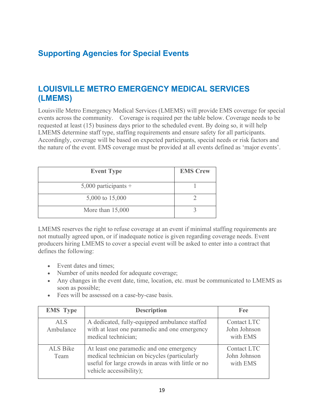## <span id="page-19-0"></span>**Supporting Agencies for Special Events**

#### **LOUISVILLE METRO EMERGENCY MEDICAL SERVICES (LMEMS)**

Louisville Metro Emergency Medical Services (LMEMS) will provide EMS coverage for special events across the community. Coverage is required per the table below. Coverage needs to be requested at least (15) business days prior to the scheduled event. By doing so, it will help LMEMS determine staff type, staffing requirements and ensure safety for all participants. Accordingly, coverage will be based on expected participants, special needs or risk factors and the nature of the event. EMS coverage must be provided at all events defined as 'major events'.

| <b>Event Type</b>      | <b>EMS Crew</b> |
|------------------------|-----------------|
| $5,000$ participants + |                 |
| 5,000 to 15,000        |                 |
| More than $15,000$     |                 |

LMEMS reserves the right to refuse coverage at an event if minimal staffing requirements are not mutually agreed upon, or if inadequate notice is given regarding coverage needs. Event producers hiring LMEMS to cover a special event will be asked to enter into a contract that defines the following:

- Event dates and times;
- Number of units needed for adequate coverage;
- Any changes in the event date, time, location, etc. must be communicated to LMEMS as soon as possible;
- Fees will be assessed on a case-by-case basis.

| <b>EMS</b> Type         | <b>Description</b>                                                                                                                                                        | Fee                                            |
|-------------------------|---------------------------------------------------------------------------------------------------------------------------------------------------------------------------|------------------------------------------------|
| <b>ALS</b><br>Ambulance | A dedicated, fully-equipped ambulance staffed<br>with at least one paramedic and one emergency<br>medical technician;                                                     | Contact LTC<br>John Johnson<br>with EMS        |
| ALS Bike<br>Team        | At least one paramedic and one emergency<br>medical technician on bicycles (particularly<br>useful for large crowds in areas with little or no<br>vehicle accessibility); | <b>Contact LTC</b><br>John Johnson<br>with EMS |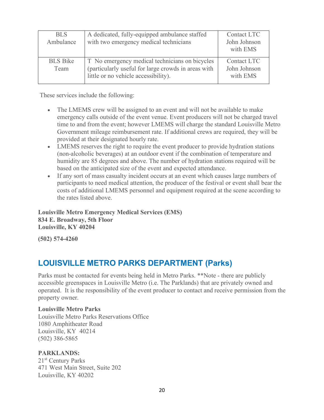| <b>BLS</b><br>Ambulance | A dedicated, fully-equipped ambulance staffed<br>with two emergency medical technicians                                                       | Contact LTC<br>John Johnson<br>with EMS |
|-------------------------|-----------------------------------------------------------------------------------------------------------------------------------------------|-----------------------------------------|
| <b>BLS</b> Bike<br>Team | T No emergency medical technicians on bicycles<br>(particularly useful for large crowds in areas with<br>little or no vehicle accessibility). | Contact LTC<br>John Johnson<br>with EMS |

These services include the following:

- The LMEMS crew will be assigned to an event and will not be available to make emergency calls outside of the event venue. Event producers will not be charged travel time to and from the event; however LMEMS will charge the standard Louisville Metro Government mileage reimbursement rate. If additional crews are required, they will be provided at their designated hourly rate.
- LMEMS reserves the right to require the event producer to provide hydration stations (non-alcoholic beverages) at an outdoor event if the combination of temperature and humidity are 85 degrees and above. The number of hydration stations required will be based on the anticipated size of the event and expected attendance.
- If any sort of mass casualty incident occurs at an event which causes large numbers of participants to need medical attention, the producer of the festival or event shall bear the costs of additional LMEMS personnel and equipment required at the scene according to the rates listed above.

**Louisville Metro Emergency Medical Services (EMS) 834 E. Broadway, 5th Floor Louisville, KY 40204**

**(502) 574-4260**

#### **LOUISVILLE METRO PARKS DEPARTMENT (Parks)**

Parks must be contacted for events being held in Metro Parks. \*\*Note - there are publicly accessible greenspaces in Louisville Metro (i.e. The Parklands) that are privately owned and operated. It is the responsibility of the event producer to contact and receive permission from the property owner.

#### **Louisville Metro Parks**

Louisville Metro Parks Reservations Office 1080 Amphitheater Road Louisville, KY 40214 (502) 386-5865

#### **PARKLANDS:**

21st Century Parks 471 West Main Street, Suite 202 Louisville, KY 40202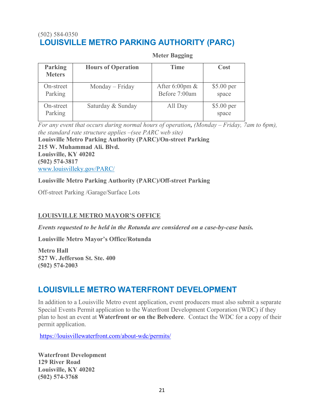#### (502) 584-0350 **LOUISVILLE METRO PARKING AUTHORITY (PARC)**

#### **Meter Bagging**

| <b>Parking</b><br><b>Meters</b> | <b>Hours of Operation</b> | <b>Time</b>                       | Cost                |
|---------------------------------|---------------------------|-----------------------------------|---------------------|
| On-street<br>Parking            | Monday – Friday           | After 6:00pm $&$<br>Before 7:00am | \$5.00 per<br>space |
| On-street<br>Parking            | Saturday & Sunday         | All Day                           | \$5.00 per<br>space |

*For any event that occurs during normal hours of operation, (Monday – Friday, 7am to 6pm), the standard rate structure applies –(see PARC web site)* **Louisville Metro Parking Authority (PARC)/On-street Parking 215 W. Muhammad Ali. Blvd. Louisville, KY 40202 (502) 574-3817** [www.louisvilleky.gov/PARC/](https://louisvilleky.gov/government/parking-authority-parc/parc-services)

#### **Louisville Metro Parking Authority (PARC)/Off-street Parking**

Off-street Parking /Garage/Surface Lots

#### **LOUISVILLE METRO MAYOR'S OFFICE**

*Events requested to be held in the Rotunda are considered on a case-by-case basis.*

**Louisville Metro Mayor's Office/Rotunda**

**Metro Hall 527 W. Jefferson St. Ste. 400 (502) 574-2003**

#### **LOUISVILLE METRO WATERFRONT DEVELOPMENT**

In addition to a Louisville Metro event application, event producers must also submit a separate Special Events Permit application to the Waterfront Development Corporation (WDC) if they plan to host an event at **Waterfront or on the Belvedere**. Contact the WDC for a copy of their permit application.

<https://louisvillewaterfront.com/about-wdc/permits/>

**Waterfront Development 129 River Road Louisville, KY 40202 (502) 574-3768**